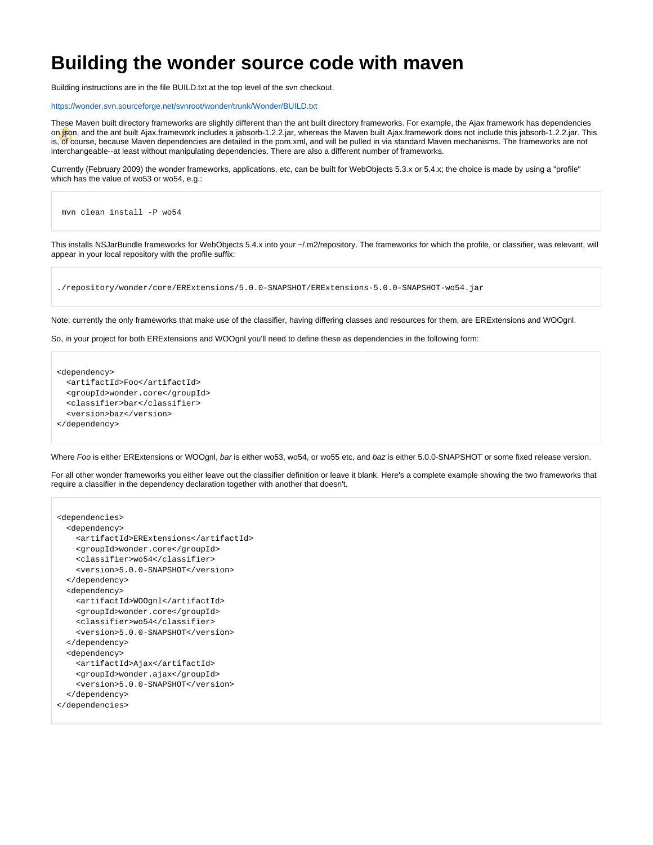## **Building the wonder source code with maven**

Building instructions are in the file BUILD.txt at the top level of the svn checkout.

<https://wonder.svn.sourceforge.net/svnroot/wonder/trunk/Wonder/BUILD.txt>

These Maven built directory frameworks are slightly different than the ant built directory frameworks. For example, the Ajax framework has dependencies on *is*on, and the ant built Ajax.framework includes a jabsorb-1.2.2.jar, whereas the Maven built Ajax.framework does not include this jabsorb-1.2.2.jar. This is, of course, because Maven dependencies are detailed in the pom.xml, and will be pulled in via standard Maven mechanisms. The frameworks are not interchangeable--at least without manipulating dependencies. There are also a different number of frameworks.

Currently (February 2009) the wonder frameworks, applications, etc, can be built for WebObjects 5.3.x or 5.4.x; the choice is made by using a "profile" which has the value of wo53 or wo54, e.g.:

```
 mvn clean install -P wo54
```
This installs NSJarBundle frameworks for WebObjects 5.4.x into your ~/.m2/repository. The frameworks for which the profile, or classifier, was relevant, will appear in your local repository with the profile suffix:

./repository/wonder/core/ERExtensions/5.0.0-SNAPSHOT/ERExtensions-5.0.0-SNAPSHOT-wo54.jar

Note: currently the only frameworks that make use of the classifier, having differing classes and resources for them, are ERExtensions and WOOgnl.

So, in your project for both ERExtensions and WOOgnl you'll need to define these as dependencies in the following form:

```
<dependency>
   <artifactId>Foo</artifactId>
  <groupId>wonder.core</groupId>
  <classifier>bar</classifier>
   <version>baz</version>
</dependency>
```
Where Foo is either ERExtensions or WOOgnl, bar is either wo53, wo54, or wo55 etc, and baz is either 5.0.0-SNAPSHOT or some fixed release version.

For all other wonder frameworks you either leave out the classifier definition or leave it blank. Here's a complete example showing the two frameworks that require a classifier in the dependency declaration together with another that doesn't.

```
<dependencies>
  <dependency>
    <artifactId>ERExtensions</artifactId>
     <groupId>wonder.core</groupId>
     <classifier>wo54</classifier>
     <version>5.0.0-SNAPSHOT</version>
   </dependency>
  <dependency>
     <artifactId>WOOgnl</artifactId>
     <groupId>wonder.core</groupId>
     <classifier>wo54</classifier>
     <version>5.0.0-SNAPSHOT</version>
   </dependency>
  <dependency>
     <artifactId>Ajax</artifactId>
     <groupId>wonder.ajax</groupId>
     <version>5.0.0-SNAPSHOT</version>
   </dependency>
</dependencies>
```